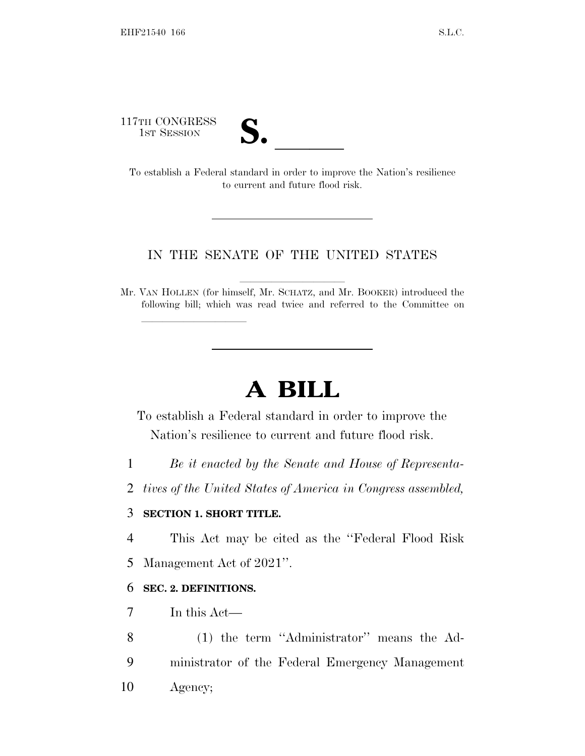117TH CONGRESS

| ┑<br>ſ                                           |  |
|--------------------------------------------------|--|
|                                                  |  |
| $\boldsymbol{\mathsf{\omega}}\boldsymbol{\cdot}$ |  |
|                                                  |  |

17TH CONGRESS<br>
1ST SESSION<br>
To establish a Federal standard in order to improve the Nation's resilience to current and future flood risk.

# IN THE SENATE OF THE UNITED STATES

Mr. VAN HOLLEN (for himself, Mr. SCHATZ, and Mr. BOOKER) introduced the following bill; which was read twice and referred to the Committee on

# **A BILL**

To establish a Federal standard in order to improve the Nation's resilience to current and future flood risk.

1 *Be it enacted by the Senate and House of Representa-*

2 *tives of the United States of America in Congress assembled,*

# 3 **SECTION 1. SHORT TITLE.**

lla se al consegue de la consegue de la consegue de la consegue de la consegue de la consegue de la consegue d<br>La consegue de la consegue de la consegue de la consegue de la consegue de la consegue de la consegue de la co

4 This Act may be cited as the ''Federal Flood Risk

5 Management Act of 2021''.

# 6 **SEC. 2. DEFINITIONS.**

7 In this Act—

8 (1) the term ''Administrator'' means the Ad-9 ministrator of the Federal Emergency Management 10 Agency;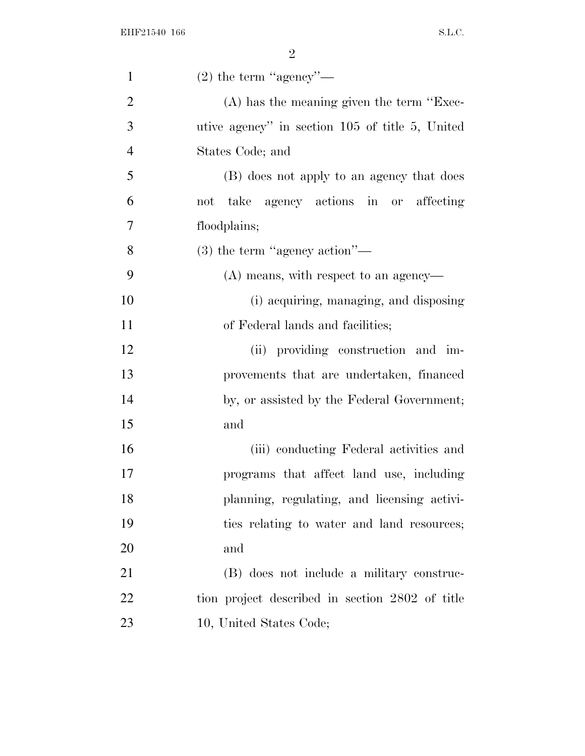| $\mathbf{1}$   | $(2)$ the term "agency"—                        |
|----------------|-------------------------------------------------|
| $\overline{2}$ | $(A)$ has the meaning given the term "Exec-     |
| 3              | utive agency" in section 105 of title 5, United |
| $\overline{4}$ | States Code; and                                |
| 5              | (B) does not apply to an agency that does       |
| 6              | take agency actions in or affecting<br>not      |
| 7              | floodplains;                                    |
| 8              | $(3)$ the term "agency action"—                 |
| 9              | $(A)$ means, with respect to an agency—         |
| 10             | (i) acquiring, managing, and disposing          |
| 11             | of Federal lands and facilities;                |
| 12             | (ii) providing construction and im-             |
| 13             | provements that are undertaken, financed        |
| 14             | by, or assisted by the Federal Government;      |
| 15             | and                                             |
| 16             | (iii) conducting Federal activities and         |
| 17             | programs that affect land use, including        |
| 18             | planning, regulating, and licensing activi-     |
| 19             | ties relating to water and land resources;      |
| 20             | and                                             |
| 21             | (B) does not include a military construc-       |
| 22             | tion project described in section 2802 of title |
| 23             | 10, United States Code;                         |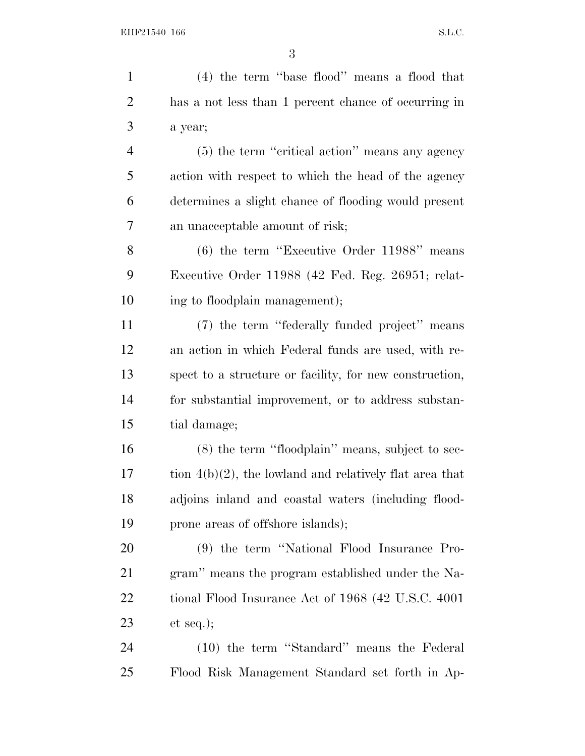(4) the term ''base flood'' means a flood that has a not less than 1 percent chance of occurring in a year; (5) the term ''critical action'' means any agency action with respect to which the head of the agency determines a slight chance of flooding would present an unacceptable amount of risk; (6) the term ''Executive Order 11988'' means Executive Order 11988 (42 Fed. Reg. 26951; relat- ing to floodplain management); (7) the term ''federally funded project'' means an action in which Federal funds are used, with re- spect to a structure or facility, for new construction, for substantial improvement, or to address substan- tial damage; (8) the term ''floodplain'' means, subject to sec- tion  $4(b)(2)$ , the lowland and relatively flat area that adjoins inland and coastal waters (including flood-19 prone areas of offshore islands); (9) the term ''National Flood Insurance Pro- gram'' means the program established under the Na- tional Flood Insurance Act of 1968 (42 U.S.C. 4001 et seq.); (10) the term ''Standard'' means the Federal Flood Risk Management Standard set forth in Ap-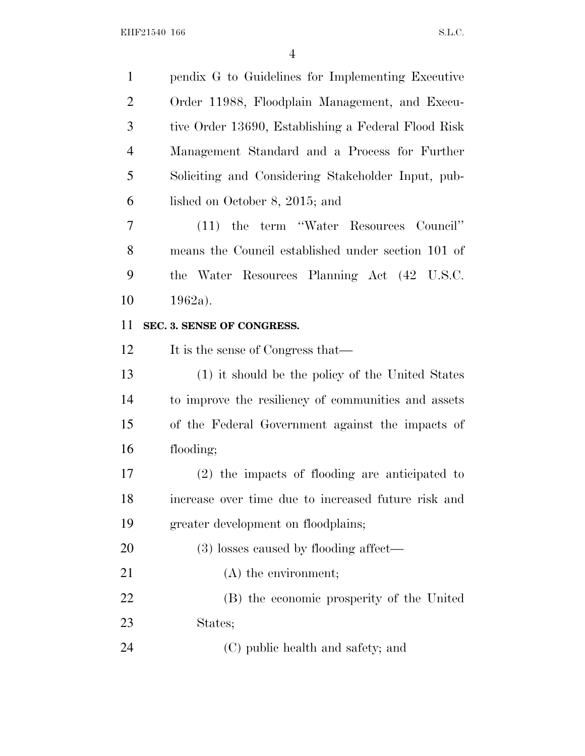| $\mathbf{1}$   | pendix G to Guidelines for Implementing Executive   |
|----------------|-----------------------------------------------------|
| $\overline{2}$ | Order 11988, Floodplain Management, and Execu-      |
| 3              | tive Order 13690, Establishing a Federal Flood Risk |
| $\overline{4}$ | Management Standard and a Process for Further       |
| 5              | Soliciting and Considering Stakeholder Input, pub-  |
| 6              | lished on October 8, 2015; and                      |
| 7              | (11) the term "Water Resources Council"             |
| 8              | means the Council established under section 101 of  |
| 9              | the Water Resources Planning Act (42 U.S.C.         |
| 10             | $1962a$ ).                                          |
| 11             | SEC. 3. SENSE OF CONGRESS.                          |
| 12             | It is the sense of Congress that—                   |
|                |                                                     |
|                | (1) it should be the policy of the United States    |
| 13<br>14       | to improve the resiliency of communities and assets |
| 15             | of the Federal Government against the impacts of    |
| 16             | flooding;                                           |
| 17             | (2) the impacts of flooding are anticipated to      |
| 18             | increase over time due to increased future risk and |
| 19             | greater development on floodplains;                 |
| 20             | (3) losses caused by flooding affect—               |
| 21             | $(A)$ the environment;                              |
| 22             | (B) the economic prosperity of the United           |
| 23             | States;                                             |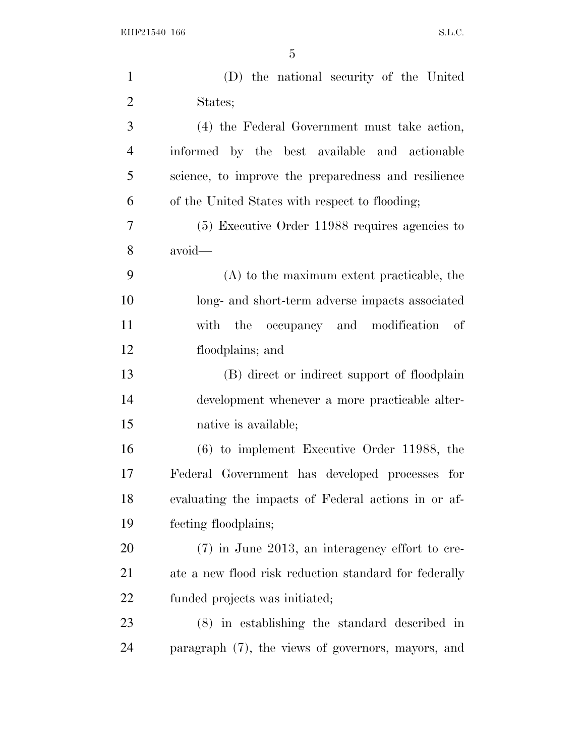| $\mathbf{1}$   | (D) the national security of the United               |
|----------------|-------------------------------------------------------|
| $\overline{2}$ | States;                                               |
| 3              | (4) the Federal Government must take action,          |
| $\overline{4}$ | informed by the best available and actionable         |
| 5              | science, to improve the preparedness and resilience   |
| 6              | of the United States with respect to flooding;        |
| 7              | $(5)$ Executive Order 11988 requires agencies to      |
| 8              | avoid-                                                |
| 9              | $(A)$ to the maximum extent practicable, the          |
| 10             | long- and short-term adverse impacts associated       |
| 11             | with the occupancy and modification of                |
| 12             | floodplains; and                                      |
| 13             | (B) direct or indirect support of floodplain          |
| 14             | development whenever a more practicable alter-        |
| 15             | native is available;                                  |
| 16             | $(6)$ to implement Executive Order 11988, the         |
| 17             | Federal Government has developed processes for        |
| 18             | evaluating the impacts of Federal actions in or af-   |
| 19             | fecting floodplains;                                  |
| 20             | $(7)$ in June 2013, an interagency effort to cre-     |
| 21             | ate a new flood risk reduction standard for federally |
| 22             | funded projects was initiated;                        |
| 23             | $(8)$ in establishing the standard described in       |
| 24             | paragraph (7), the views of governors, mayors, and    |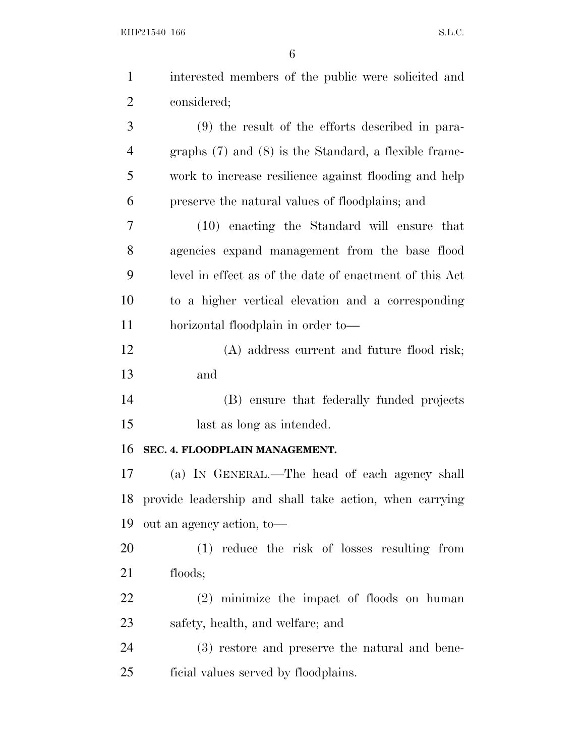| $\mathbf{1}$   | interested members of the public were solicited and       |
|----------------|-----------------------------------------------------------|
| $\overline{2}$ | considered;                                               |
| 3              | $(9)$ the result of the efforts described in para-        |
| 4              | graphs $(7)$ and $(8)$ is the Standard, a flexible frame- |
| 5              | work to increase resilience against flooding and help     |
| 6              | preserve the natural values of floodplains; and           |
| 7              | (10) enacting the Standard will ensure that               |
| 8              | agencies expand management from the base flood            |
| 9              | level in effect as of the date of enactment of this Act   |
| 10             | to a higher vertical elevation and a corresponding        |
| 11             | horizontal floodplain in order to-                        |
| 12             | (A) address current and future flood risk;                |
| 13             | and                                                       |
| 14             | (B) ensure that federally funded projects                 |
| 15             | last as long as intended.                                 |
| 16             | SEC. 4. FLOODPLAIN MANAGEMENT.                            |
| 17             | (a) IN GENERAL.—The head of each agency shall             |
| 18             | provide leadership and shall take action, when carrying   |
| 19             | out an agency action, to-                                 |
| 20             | (1) reduce the risk of losses resulting from              |
| 21             | floods;                                                   |
| 22             | $(2)$ minimize the impact of floods on human              |
| 23             | safety, health, and welfare; and                          |
| 24             | (3) restore and preserve the natural and bene-            |
| 25             | ficial values served by floodplains.                      |
|                |                                                           |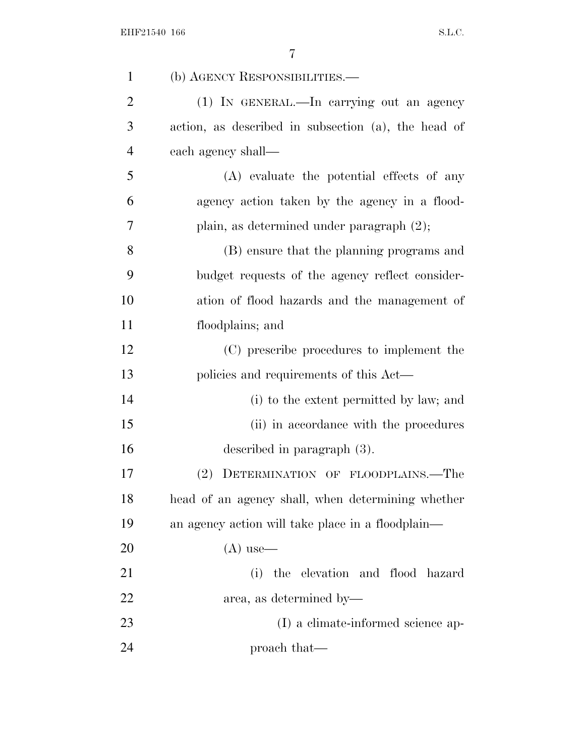| $\mathbf{1}$   | (b) AGENCY RESPONSIBILITIES.—                       |
|----------------|-----------------------------------------------------|
| $\overline{2}$ | (1) IN GENERAL.—In carrying out an agency           |
| 3              | action, as described in subsection (a), the head of |
| $\overline{4}$ | each agency shall—                                  |
| 5              | (A) evaluate the potential effects of any           |
| 6              | agency action taken by the agency in a flood-       |
| 7              | plain, as determined under paragraph $(2)$ ;        |
| 8              | (B) ensure that the planning programs and           |
| 9              | budget requests of the agency reflect consider-     |
| 10             | ation of flood hazards and the management of        |
| 11             | floodplains; and                                    |
| 12             | (C) prescribe procedures to implement the           |
| 13             | policies and requirements of this Act—              |
| 14             | (i) to the extent permitted by law; and             |
| 15             | (ii) in accordance with the procedures              |
| 16             | described in paragraph $(3)$ .                      |
| 17             | (2)<br>DETERMINATION OF FLOODPLAINS.—The            |
| 18             | head of an agency shall, when determining whether   |
| 19             | an agency action will take place in a floodplain—   |
| 20             | $(A)$ use—                                          |
| 21             | the elevation and flood hazard<br>(i)               |
| 22             | area, as determined by—                             |
| 23             | (I) a climate-informed science ap-                  |
| 24             | proach that—                                        |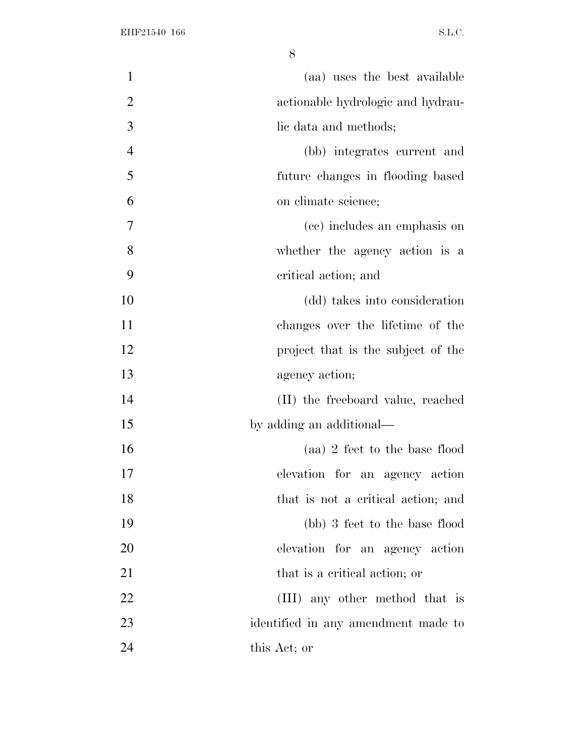| $\mathbf{1}$   | (aa) uses the best available        |
|----------------|-------------------------------------|
| $\overline{2}$ | actionable hydrologic and hydrau-   |
| 3              | lic data and methods;               |
| $\overline{4}$ | (bb) integrates current and         |
| 5              | future changes in flooding based    |
| 6              | on climate science;                 |
| 7              | (cc) includes an emphasis on        |
| 8              | whether the agency action is a      |
| 9              | critical action; and                |
| 10             | (dd) takes into consideration       |
| 11             | changes over the lifetime of the    |
| 12             | project that is the subject of the  |
| 13             | agency action;                      |
| 14             | (II) the freeboard value, reached   |
| 15             | by adding an additional—            |
| 16             | (aa) 2 feet to the base flood       |
| 17             | elevation for an agency action      |
| 18             | that is not a critical action; and  |
| 19             | (bb) 3 feet to the base flood       |
| 20             | elevation for an agency action      |
| 21             | that is a critical action; or       |
| 22             | (III) any other method that is      |
| 23             | identified in any amendment made to |
| 24             | this Act; or                        |
|                |                                     |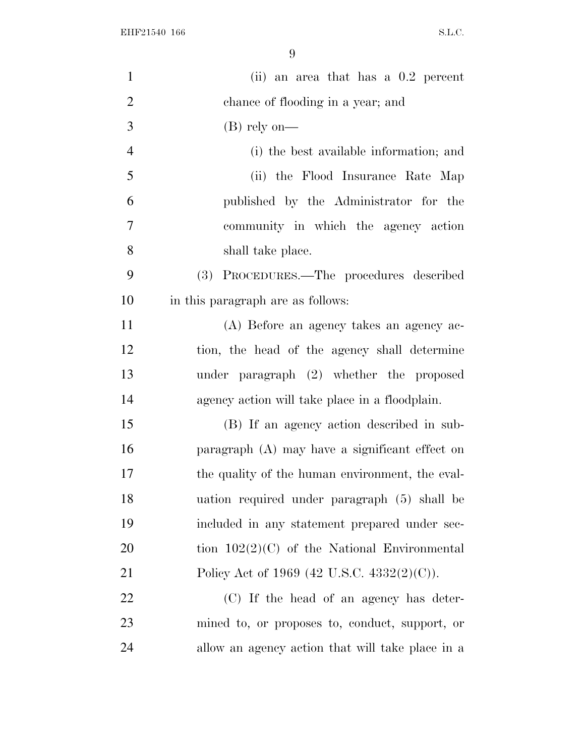| $\mathbf{1}$   | (ii) an area that has a $0.2$ percent            |
|----------------|--------------------------------------------------|
| $\overline{2}$ | chance of flooding in a year; and                |
| 3              | $(B)$ rely on—                                   |
| $\overline{4}$ | (i) the best available information; and          |
| 5              | (ii) the Flood Insurance Rate Map                |
| 6              | published by the Administrator for the           |
| 7              | community in which the agency action             |
| 8              | shall take place.                                |
| 9              | (3) PROCEDURES.—The procedures described         |
| 10             | in this paragraph are as follows:                |
| 11             | (A) Before an agency takes an agency ac-         |
| 12             | tion, the head of the agency shall determine     |
| 13             | under paragraph (2) whether the proposed         |
| 14             | agency action will take place in a floodplain.   |
| 15             | (B) If an agency action described in sub-        |
| 16             | paragraph (A) may have a significant effect on   |
| 17             | the quality of the human environment, the eval-  |
| 18             | uation required under paragraph (5) shall be     |
| 19             | included in any statement prepared under sec-    |
| 20             | tion $102(2)(C)$ of the National Environmental   |
| 21             | Policy Act of 1969 (42 U.S.C. 4332(2)(C)).       |
| 22             | (C) If the head of an agency has deter-          |
| 23             | mined to, or proposes to, conduct, support, or   |
| 24             | allow an agency action that will take place in a |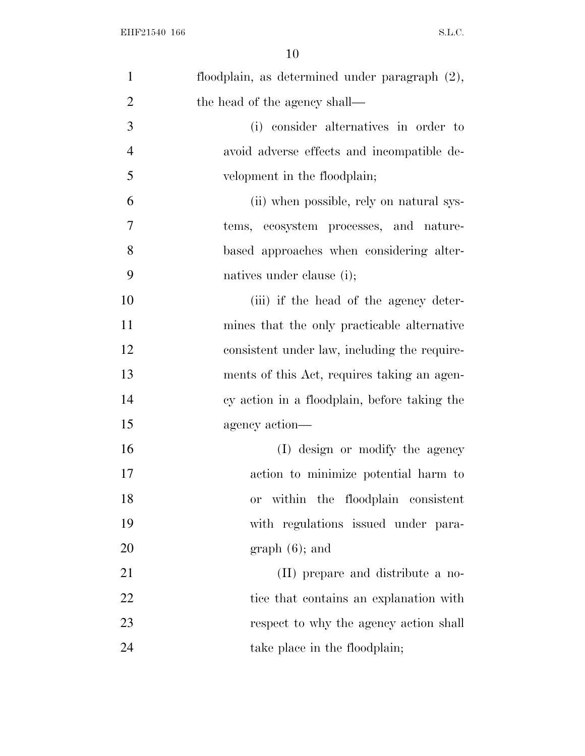| $\mathbf{1}$   | floodplain, as determined under paragraph (2),    |
|----------------|---------------------------------------------------|
| $\overline{2}$ | the head of the agency shall—                     |
| 3              | (i) consider alternatives in order to             |
| $\overline{4}$ | avoid adverse effects and incompatible de-        |
| 5              | velopment in the floodplain;                      |
| 6              | (ii) when possible, rely on natural sys-          |
| 7              | tems, ecosystem processes, and nature-            |
| 8              | based approaches when considering alter-          |
| 9              | natives under clause (i);                         |
| 10             | (iii) if the head of the agency deter-            |
| 11             | mines that the only practicable alternative       |
| 12             | consistent under law, including the require-      |
| 13             | ments of this Act, requires taking an agen-       |
| 14             | cy action in a floodplain, before taking the      |
| 15             | agency action—                                    |
| 16             | (I) design or modify the agency                   |
| 17             | action to minimize potential harm to              |
| 18             | within the floodplain consistent<br><sub>or</sub> |
| 19             | with regulations issued under para-               |
| 20             | $graph(6)$ ; and                                  |
| 21             | (II) prepare and distribute a no-                 |
| 22             | tice that contains an explanation with            |
| 23             | respect to why the agency action shall            |
| 24             | take place in the floodplain;                     |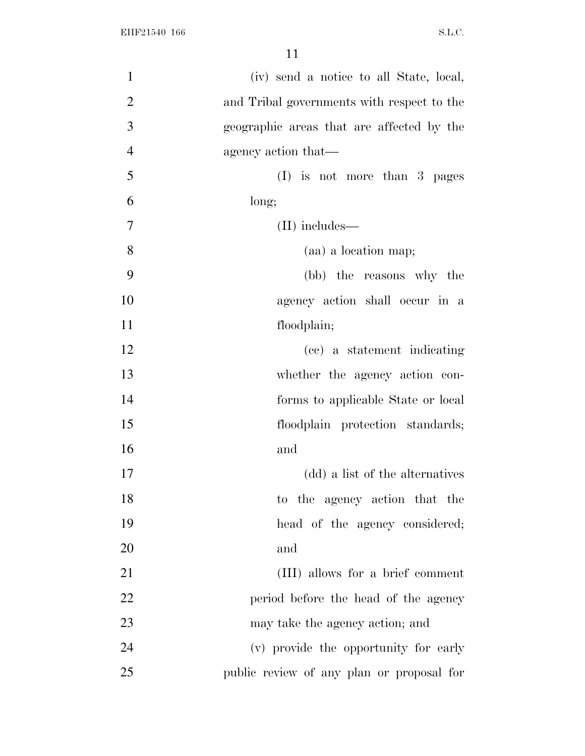| $\mathbf{1}$   | (iv) send a notice to all State, local,    |
|----------------|--------------------------------------------|
| $\overline{2}$ | and Tribal governments with respect to the |
| 3              | geographic areas that are affected by the  |
| $\overline{4}$ | agency action that—                        |
| 5              | $(I)$ is not more than 3 pages             |
| 6              | long;                                      |
| 7              | $(II)$ includes—                           |
| 8              | (aa) a location map;                       |
| 9              | (bb) the reasons why the                   |
| 10             | agency action shall occur in a             |
| 11             | floodplain;                                |
| 12             | (cc) a statement indicating                |
| 13             | whether the agency action con-             |
| 14             | forms to applicable State or local         |
| 15             | floodplain protection standards;           |
| 16             | and                                        |
| 17             | (dd) a list of the alternatives            |
| 18             | to the agency action that the              |
| 19             | head of the agency considered;             |
| 20             | and                                        |
| 21             | (III) allows for a brief comment           |
| 22             | period before the head of the agency       |
| 23             | may take the agency action; and            |
| 24             | (v) provide the opportunity for early      |
| 25             | public review of any plan or proposal for  |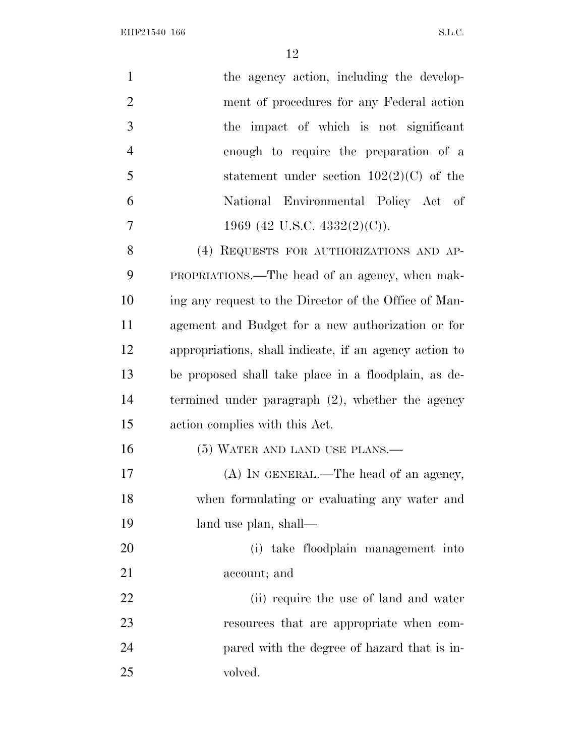| $\mathbf{1}$   | the agency action, including the develop-              |
|----------------|--------------------------------------------------------|
| $\overline{2}$ | ment of procedures for any Federal action              |
| 3              | the impact of which is not significant                 |
| $\overline{4}$ | enough to require the preparation of a                 |
| 5              | statement under section $102(2)(C)$ of the             |
| 6              | National Environmental Policy Act of                   |
| 7              | 1969 (42 U.S.C. 4332(2)(C)).                           |
| 8              | (4) REQUESTS FOR AUTHORIZATIONS AND AP-                |
| 9              | PROPRIATIONS.—The head of an agency, when mak-         |
| 10             | ing any request to the Director of the Office of Man-  |
| 11             | agement and Budget for a new authorization or for      |
| 12             | appropriations, shall indicate, if an agency action to |
| 13             | be proposed shall take place in a floodplain, as de-   |
| 14             | termined under paragraph $(2)$ , whether the agency    |
| 15             | action complies with this Act.                         |
| 16             | (5) WATER AND LAND USE PLANS.—                         |
| 17             | (A) IN GENERAL.—The head of an agency,                 |
| 18             | when formulating or evaluating any water and           |
| 19             | land use plan, shall—                                  |
| 20             | (i) take floodplain management into                    |
| 21             | account; and                                           |
| 22             | (ii) require the use of land and water                 |
| 23             | resources that are appropriate when com-               |
| 24             | pared with the degree of hazard that is in-            |
| 25             | volved.                                                |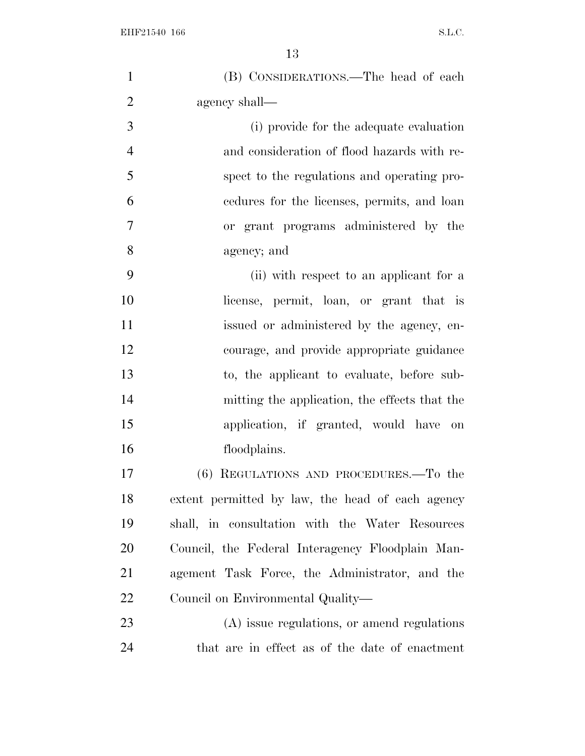| $\mathbf{1}$   | (B) CONSIDERATIONS.—The head of each             |
|----------------|--------------------------------------------------|
| $\overline{2}$ | agency shall—                                    |
| 3              | (i) provide for the adequate evaluation          |
| $\overline{4}$ | and consideration of flood hazards with re-      |
| 5              | spect to the regulations and operating pro-      |
| 6              | eedures for the licenses, permits, and loan      |
| $\overline{7}$ | or grant programs administered by the            |
| 8              | agency; and                                      |
| 9              | (ii) with respect to an applicant for a          |
| 10             | license, permit, loan, or grant that is          |
| 11             | issued or administered by the agency, en-        |
| 12             | courage, and provide appropriate guidance        |
| 13             | to, the applicant to evaluate, before sub-       |
| 14             | mitting the application, the effects that the    |
| 15             | application, if granted, would have on           |
| 16             | floodplains.                                     |
| 17             | (6) REGULATIONS AND PROCEDURES.—To the           |
| 18             | extent permitted by law, the head of each agency |
| 19             | shall, in consultation with the Water Resources  |
| <b>20</b>      | Council, the Federal Interagency Floodplain Man- |
| 21             | agement Task Force, the Administrator, and the   |
| 22             | Council on Environmental Quality—                |
| 23             | (A) issue regulations, or amend regulations      |
| 24             | that are in effect as of the date of enactment   |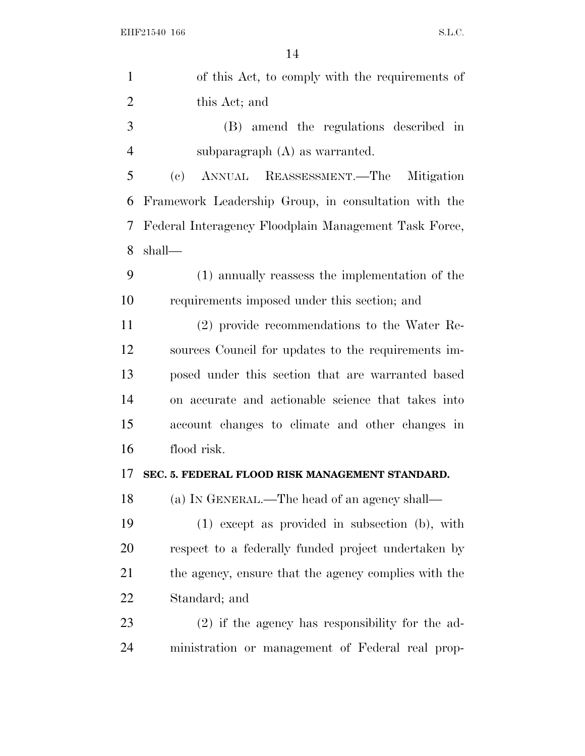| $\mathbf{1}$   | of this Act, to comply with the requirements of       |
|----------------|-------------------------------------------------------|
| $\overline{2}$ | this Act; and                                         |
| 3              | (B) amend the regulations described in                |
| $\overline{4}$ | subparagraph $(A)$ as warranted.                      |
| 5              | ANNUAL REASSESSMENT.—The Mitigation<br>(e)            |
| 6              | Framework Leadership Group, in consultation with the  |
| 7              | Federal Interagency Floodplain Management Task Force, |
| 8              | shall—                                                |
| 9              | (1) annually reassess the implementation of the       |
| 10             | requirements imposed under this section; and          |
| 11             | (2) provide recommendations to the Water Re-          |
| 12             | sources Council for updates to the requirements im-   |
| 13             | posed under this section that are warranted based     |
| 14             | on accurate and actionable science that takes into    |
| 15             | account changes to climate and other changes in       |
| 16             | flood risk.                                           |
| 17             | SEC. 5. FEDERAL FLOOD RISK MANAGEMENT STANDARD.       |
| 18             | (a) IN GENERAL.—The head of an agency shall—          |
| 19             | $(1)$ except as provided in subsection $(b)$ , with   |
| 20             | respect to a federally funded project undertaken by   |
| 21             | the agency, ensure that the agency complies with the  |
| 22             | Standard; and                                         |
| 23             | $(2)$ if the agency has responsibility for the ad-    |
| 24             | ministration or management of Federal real prop-      |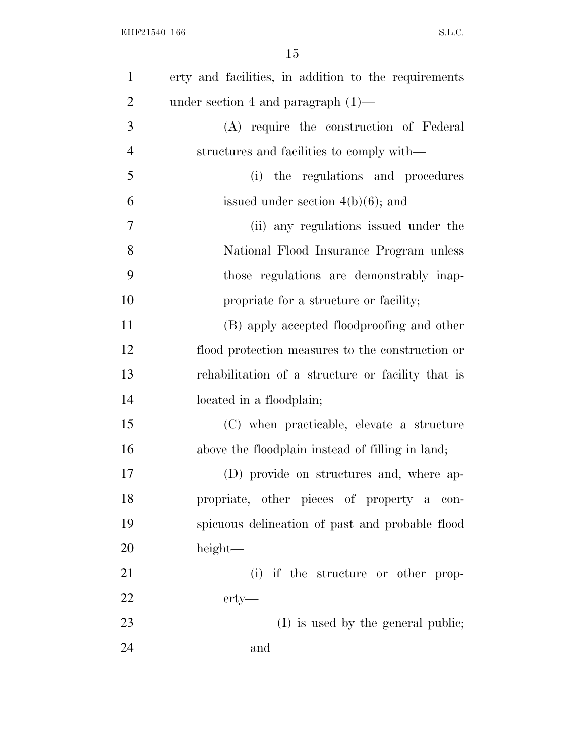| $\mathbf{1}$   | erty and facilities, in addition to the requirements |
|----------------|------------------------------------------------------|
| $\overline{2}$ | under section 4 and paragraph $(1)$ —                |
| 3              | (A) require the construction of Federal              |
| $\overline{4}$ | structures and facilities to comply with—            |
| 5              | the regulations and procedures<br>(i)                |
| 6              | issued under section $4(b)(6)$ ; and                 |
| 7              | (ii) any regulations issued under the                |
| 8              | National Flood Insurance Program unless              |
| 9              | those regulations are demonstrably inap-             |
| 10             | propriate for a structure or facility;               |
| 11             | (B) apply accepted floodproofing and other           |
| 12             | flood protection measures to the construction or     |
| 13             | rehabilitation of a structure or facility that is    |
| 14             | located in a floodplain;                             |
| 15             | (C) when practicable, elevate a structure            |
| 16             | above the floodplain instead of filling in land;     |
| 17             | (D) provide on structures and, where ap-             |
| 18             | propriate, other pieces of property a con-           |
| 19             | spicuous delineation of past and probable flood      |
| 20             | height—                                              |
| 21             | (i) if the structure or other prop-                  |
| 22             | $erty-$                                              |
| 23             | (I) is used by the general public;                   |
| 24             | and                                                  |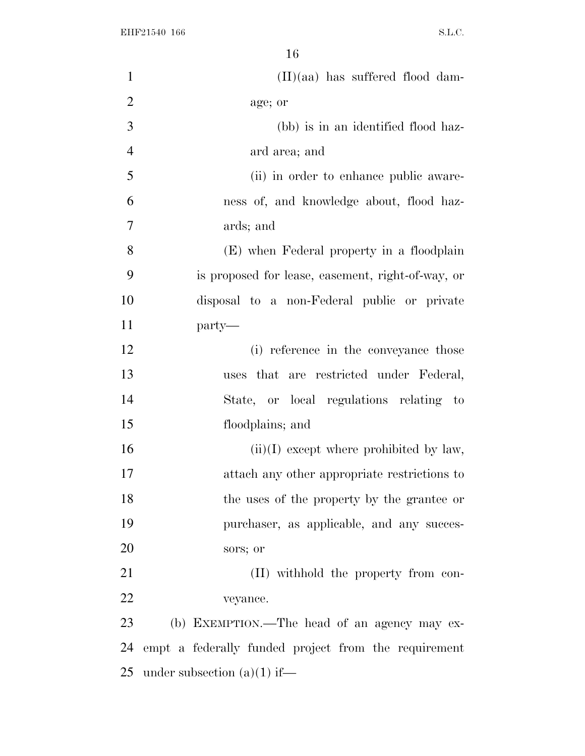| $\mathbf{1}$   | $(II)(aa)$ has suffered flood dam-                   |
|----------------|------------------------------------------------------|
| $\overline{2}$ | age; or                                              |
| 3              | (bb) is in an identified flood haz-                  |
| $\overline{4}$ | ard area; and                                        |
| 5              | (ii) in order to enhance public aware-               |
| 6              | ness of, and knowledge about, flood haz-             |
| 7              | ards; and                                            |
| 8              | (E) when Federal property in a floodplain            |
| 9              | is proposed for lease, easement, right-of-way, or    |
| 10             | disposal to a non-Federal public or private          |
| 11             | party-                                               |
| 12             | (i) reference in the conveyance those                |
| 13             | uses that are restricted under Federal,              |
| 14             | State, or local regulations relating to              |
| 15             | floodplains; and                                     |
| 16             | $(ii)(I)$ except where prohibited by law,            |
| 17             | attach any other appropriate restrictions to         |
| 18             | the uses of the property by the grantee or           |
| 19             | purchaser, as applicable, and any succes-            |
| 20             | sors; or                                             |
| 21             | (II) withhold the property from con-                 |
| 22             | veyance.                                             |
| 23             | (b) EXEMPTION.—The head of an agency may ex-         |
| 24             | empt a federally funded project from the requirement |
| 25             | under subsection $(a)(1)$ if—                        |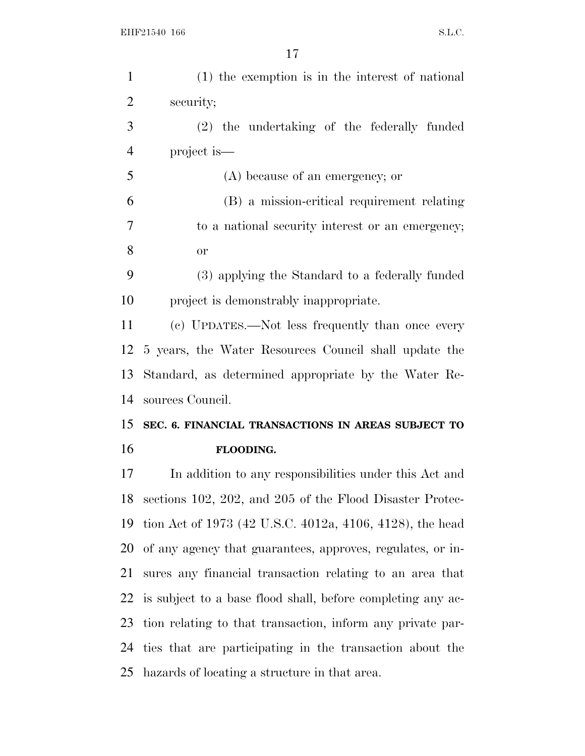| $\mathbf{1}$   | (1) the exemption is in the interest of national            |
|----------------|-------------------------------------------------------------|
| $\overline{2}$ | security;                                                   |
| 3              | (2) the undertaking of the federally funded                 |
| $\overline{4}$ | project is—                                                 |
| 5              | (A) because of an emergency; or                             |
| 6              | (B) a mission-critical requirement relating                 |
| 7              | to a national security interest or an emergency;            |
| 8              | <b>or</b>                                                   |
| 9              | (3) applying the Standard to a federally funded             |
| 10             | project is demonstrably inappropriate.                      |
| 11             | (c) UPDATES.—Not less frequently than once every            |
| 12             | 5 years, the Water Resources Council shall update the       |
| 13             | Standard, as determined appropriate by the Water Re-        |
| 14             | sources Council.                                            |
| 15             | SEC. 6. FINANCIAL TRANSACTIONS IN AREAS SUBJECT TO          |
| 16             | FLOODING.                                                   |
| 17             | In addition to any responsibilities under this Act and      |
| 18             |                                                             |
| 19             | sections 102, 202, and 205 of the Flood Disaster Protec-    |
|                | tion Act of 1973 (42 U.S.C. 4012a, 4106, 4128), the head    |
| 20             | of any agency that guarantees, approves, regulates, or in-  |
| 21             | sures any financial transaction relating to an area that    |
| 22             | is subject to a base flood shall, before completing any ac- |
| 23             | tion relating to that transaction, inform any private par-  |
|                | 24 ties that are participating in the transaction about the |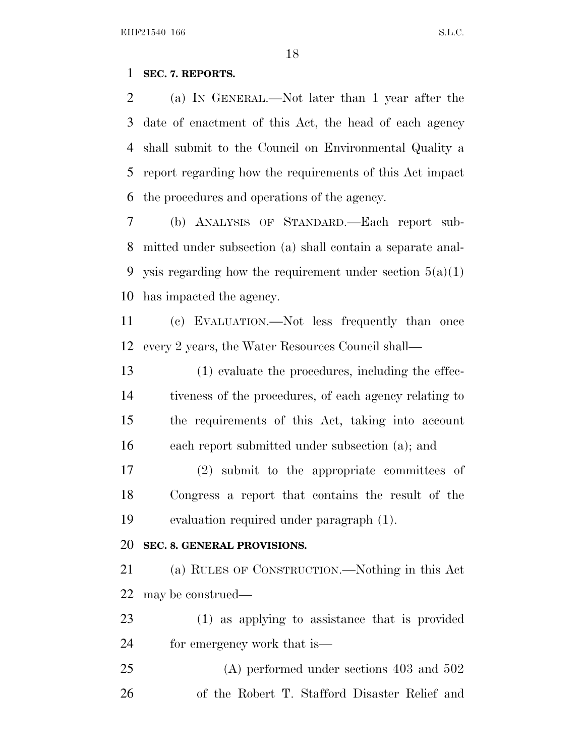### **SEC. 7. REPORTS.**

 (a) I<sup>N</sup> GENERAL.—Not later than 1 year after the date of enactment of this Act, the head of each agency shall submit to the Council on Environmental Quality a report regarding how the requirements of this Act impact the procedures and operations of the agency.

 (b) ANALYSIS OF STANDARD.—Each report sub- mitted under subsection (a) shall contain a separate anal-9 ysis regarding how the requirement under section  $5(a)(1)$ has impacted the agency.

 (c) EVALUATION.—Not less frequently than once every 2 years, the Water Resources Council shall—

 (1) evaluate the procedures, including the effec- tiveness of the procedures, of each agency relating to the requirements of this Act, taking into account each report submitted under subsection (a); and

 (2) submit to the appropriate committees of Congress a report that contains the result of the evaluation required under paragraph (1).

#### **SEC. 8. GENERAL PROVISIONS.**

 (a) RULES OF CONSTRUCTION.—Nothing in this Act may be construed—

 (1) as applying to assistance that is provided for emergency work that is—

 (A) performed under sections 403 and 502 of the Robert T. Stafford Disaster Relief and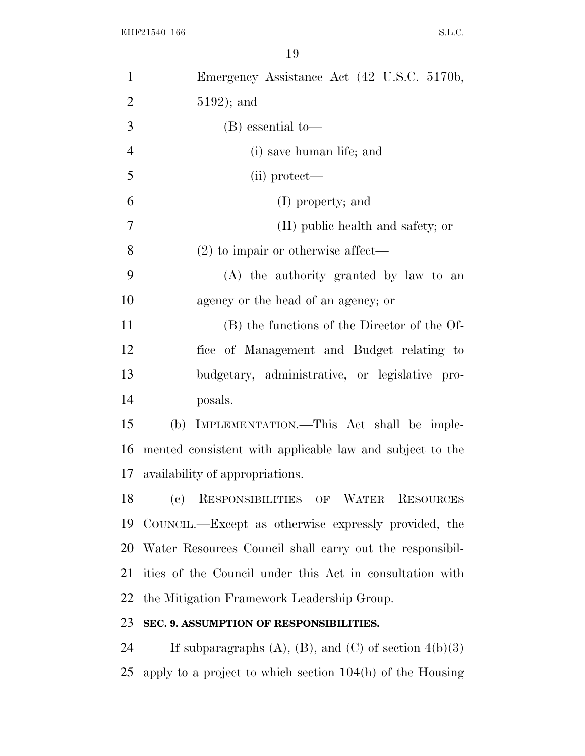| $\mathbf{1}$   | Emergency Assistance Act (42 U.S.C. 5170b,                      |
|----------------|-----------------------------------------------------------------|
| $\overline{2}$ | $5192$ ); and                                                   |
| 3              | $(B)$ essential to-                                             |
| $\overline{4}$ | (i) save human life; and                                        |
| 5              | (ii) protect—                                                   |
| 6              | (I) property; and                                               |
| 7              | (II) public health and safety; or                               |
| 8              | $(2)$ to impair or otherwise affect—                            |
| 9              | (A) the authority granted by law to an                          |
| 10             | agency or the head of an agency; or                             |
| 11             | (B) the functions of the Director of the Of-                    |
| 12             | fice of Management and Budget relating to                       |
| 13             | budgetary, administrative, or legislative pro-                  |
| 14             | posals.                                                         |
| 15             | (b) IMPLEMENTATION.—This Act shall be imple-                    |
| 16             | mented consistent with applicable law and subject to the        |
| 17             | availability of appropriations.                                 |
| 18             | (c) RESPONSIBILITIES OF WATER<br><b>RESOURCES</b>               |
| 19             | COUNCIL.—Except as otherwise expressly provided, the            |
| 20             | Water Resources Council shall carry out the responsibil-        |
| 21             | ities of the Council under this Act in consultation with        |
| 22             | the Mitigation Framework Leadership Group.                      |
| 23             | SEC. 9. ASSUMPTION OF RESPONSIBILITIES.                         |
| 24             | If subparagraphs $(A)$ , $(B)$ , and $(C)$ of section $4(b)(3)$ |
| 25             | apply to a project to which section $104(h)$ of the Housing     |